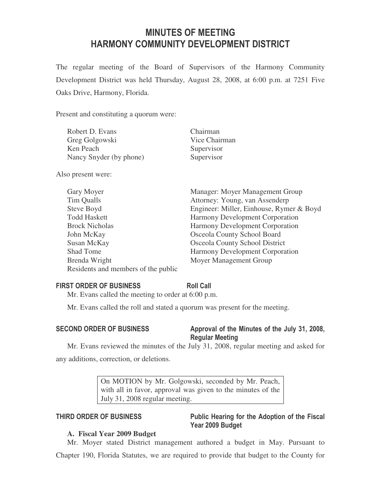# MINUTES OF MEETING HARMONY COMMUNITY DEVELOPMENT DISTRICT

The regular meeting of the Board of Supervisors of the Harmony Community Development District was held Thursday, August 28, 2008, at 6:00 p.m. at 7251 Five Oaks Drive, Harmony, Florida.

Present and constituting a quorum were:

| Robert D. Evans         | Chairman      |
|-------------------------|---------------|
| Greg Golgowski          | Vice Chairman |
| Ken Peach               | Supervisor    |
| Nancy Snyder (by phone) | Supervisor    |

Also present were:

| Gary Moyer                          | Manager: Moyer Management Group          |
|-------------------------------------|------------------------------------------|
| Tim Qualls                          | Attorney: Young, van Assenderp           |
| Steve Boyd                          | Engineer: Miller, Einhouse, Rymer & Boyd |
| <b>Todd Haskett</b>                 | <b>Harmony Development Corporation</b>   |
| <b>Brock Nicholas</b>               | <b>Harmony Development Corporation</b>   |
| John McKay                          | Osceola County School Board              |
| Susan McKay                         | Osceola County School District           |
| <b>Shad Tome</b>                    | <b>Harmony Development Corporation</b>   |
| Brenda Wright                       | Moyer Management Group                   |
| Residents and members of the public |                                          |

#### FIRST ORDER OF BUSINESS Roll Call

Mr. Evans called the meeting to order at 6:00 p.m.

Mr. Evans called the roll and stated a quorum was present for the meeting.

### SECOND ORDER OF BUSINESS Approval of the Minutes of the July 31, 2008, Regular Meeting

Mr. Evans reviewed the minutes of the July 31, 2008, regular meeting and asked for any additions, correction, or deletions.

> On MOTION by Mr. Golgowski, seconded by Mr. Peach, with all in favor, approval was given to the minutes of the July 31, 2008 regular meeting.

## THIRD ORDER OF BUSINESS Public Hearing for the Adoption of the Fiscal Year 2009 Budget

## **A. Fiscal Year 2009 Budget**

Mr. Moyer stated District management authored a budget in May. Pursuant to Chapter 190, Florida Statutes, we are required to provide that budget to the County for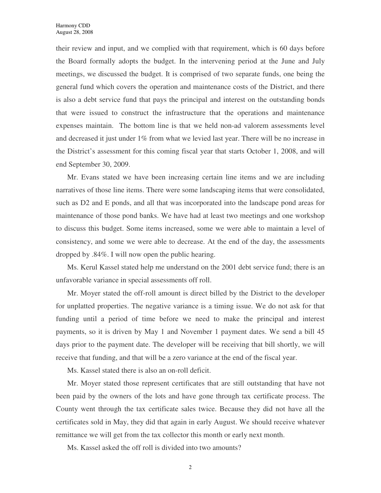their review and input, and we complied with that requirement, which is 60 days before the Board formally adopts the budget. In the intervening period at the June and July meetings, we discussed the budget. It is comprised of two separate funds, one being the general fund which covers the operation and maintenance costs of the District, and there is also a debt service fund that pays the principal and interest on the outstanding bonds that were issued to construct the infrastructure that the operations and maintenance expenses maintain. The bottom line is that we held non-ad valorem assessments level and decreased it just under 1% from what we levied last year. There will be no increase in the District's assessment for this coming fiscal year that starts October 1, 2008, and will end September 30, 2009.

Mr. Evans stated we have been increasing certain line items and we are including narratives of those line items. There were some landscaping items that were consolidated, such as D2 and E ponds, and all that was incorporated into the landscape pond areas for maintenance of those pond banks. We have had at least two meetings and one workshop to discuss this budget. Some items increased, some we were able to maintain a level of consistency, and some we were able to decrease. At the end of the day, the assessments dropped by .84%. I will now open the public hearing.

Ms. Kerul Kassel stated help me understand on the 2001 debt service fund; there is an unfavorable variance in special assessments off roll.

Mr. Moyer stated the off-roll amount is direct billed by the District to the developer for unplatted properties. The negative variance is a timing issue. We do not ask for that funding until a period of time before we need to make the principal and interest payments, so it is driven by May 1 and November 1 payment dates. We send a bill 45 days prior to the payment date. The developer will be receiving that bill shortly, we will receive that funding, and that will be a zero variance at the end of the fiscal year.

Ms. Kassel stated there is also an on-roll deficit.

Mr. Moyer stated those represent certificates that are still outstanding that have not been paid by the owners of the lots and have gone through tax certificate process. The County went through the tax certificate sales twice. Because they did not have all the certificates sold in May, they did that again in early August. We should receive whatever remittance we will get from the tax collector this month or early next month.

Ms. Kassel asked the off roll is divided into two amounts?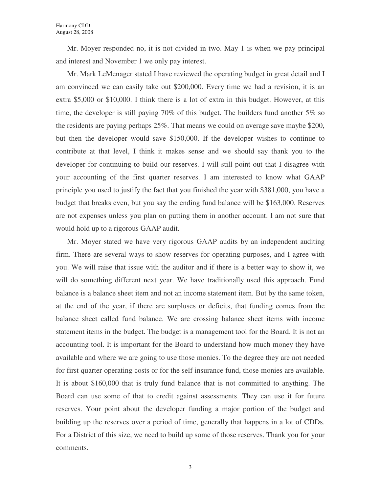Mr. Moyer responded no, it is not divided in two. May 1 is when we pay principal and interest and November 1 we only pay interest.

Mr. Mark LeMenager stated I have reviewed the operating budget in great detail and I am convinced we can easily take out \$200,000. Every time we had a revision, it is an extra \$5,000 or \$10,000. I think there is a lot of extra in this budget. However, at this time, the developer is still paying 70% of this budget. The builders fund another 5% so the residents are paying perhaps 25%. That means we could on average save maybe \$200, but then the developer would save \$150,000. If the developer wishes to continue to contribute at that level, I think it makes sense and we should say thank you to the developer for continuing to build our reserves. I will still point out that I disagree with your accounting of the first quarter reserves. I am interested to know what GAAP principle you used to justify the fact that you finished the year with \$381,000, you have a budget that breaks even, but you say the ending fund balance will be \$163,000. Reserves are not expenses unless you plan on putting them in another account. I am not sure that would hold up to a rigorous GAAP audit.

Mr. Moyer stated we have very rigorous GAAP audits by an independent auditing firm. There are several ways to show reserves for operating purposes, and I agree with you. We will raise that issue with the auditor and if there is a better way to show it, we will do something different next year. We have traditionally used this approach. Fund balance is a balance sheet item and not an income statement item. But by the same token, at the end of the year, if there are surpluses or deficits, that funding comes from the balance sheet called fund balance. We are crossing balance sheet items with income statement items in the budget. The budget is a management tool for the Board. It is not an accounting tool. It is important for the Board to understand how much money they have available and where we are going to use those monies. To the degree they are not needed for first quarter operating costs or for the self insurance fund, those monies are available. It is about \$160,000 that is truly fund balance that is not committed to anything. The Board can use some of that to credit against assessments. They can use it for future reserves. Your point about the developer funding a major portion of the budget and building up the reserves over a period of time, generally that happens in a lot of CDDs. For a District of this size, we need to build up some of those reserves. Thank you for your comments.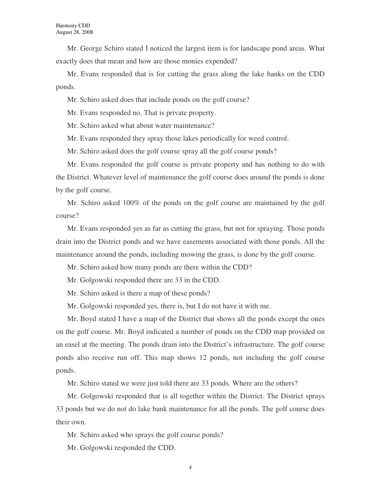Mr. George Schiro stated I noticed the largest item is for landscape pond areas. What exactly does that mean and how are those monies expended?

Mr. Evans responded that is for cutting the grass along the lake banks on the CDD ponds.

Mr. Schiro asked does that include ponds on the golf course?

Mr. Evans responded no. That is private property.

Mr. Schiro asked what about water maintenance?

Mr. Evans responded they spray those lakes periodically for weed control.

Mr. Schiro asked does the golf course spray all the golf course ponds?

Mr. Evans responded the golf course is private property and has nothing to do with the District. Whatever level of maintenance the golf course does around the ponds is done by the golf course.

Mr. Schiro asked 100% of the ponds on the golf course are maintained by the golf course?

Mr. Evans responded yes as far as cutting the grass, but not for spraying. Those ponds drain into the District ponds and we have easements associated with those ponds. All the maintenance around the ponds, including mowing the grass, is done by the golf course.

Mr. Schiro asked how many ponds are there within the CDD?

Mr. Golgowski responded there are 33 in the CDD.

Mr. Schiro asked is there a map of these ponds?

Mr. Golgowski responded yes, there is, but I do not have it with me.

Mr. Boyd stated I have a map of the District that shows all the ponds except the ones on the golf course. Mr. Boyd indicated a number of ponds on the CDD map provided on an easel at the meeting. The ponds drain into the District's infrastructure. The golf course ponds also receive run off. This map shows 12 ponds, not including the golf course ponds.

Mr. Schiro stated we were just told there are 33 ponds. Where are the others?

Mr. Golgowski responded that is all together within the District. The District sprays 33 ponds but we do not do lake bank maintenance for all the ponds. The golf course does their own.

Mr. Schiro asked who sprays the golf course ponds?

Mr. Golgowski responded the CDD.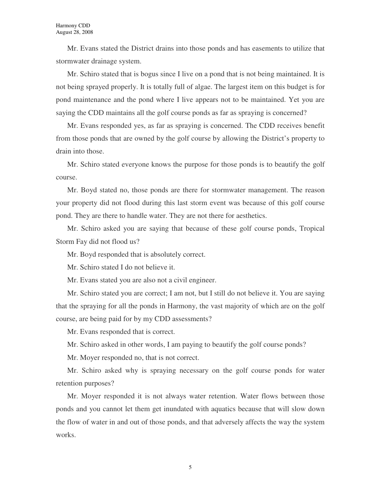Mr. Evans stated the District drains into those ponds and has easements to utilize that stormwater drainage system.

Mr. Schiro stated that is bogus since I live on a pond that is not being maintained. It is not being sprayed properly. It is totally full of algae. The largest item on this budget is for pond maintenance and the pond where I live appears not to be maintained. Yet you are saying the CDD maintains all the golf course ponds as far as spraying is concerned?

Mr. Evans responded yes, as far as spraying is concerned. The CDD receives benefit from those ponds that are owned by the golf course by allowing the District's property to drain into those.

Mr. Schiro stated everyone knows the purpose for those ponds is to beautify the golf course.

Mr. Boyd stated no, those ponds are there for stormwater management. The reason your property did not flood during this last storm event was because of this golf course pond. They are there to handle water. They are not there for aesthetics.

Mr. Schiro asked you are saying that because of these golf course ponds, Tropical Storm Fay did not flood us?

Mr. Boyd responded that is absolutely correct.

Mr. Schiro stated I do not believe it.

Mr. Evans stated you are also not a civil engineer.

Mr. Schiro stated you are correct; I am not, but I still do not believe it. You are saying that the spraying for all the ponds in Harmony, the vast majority of which are on the golf course, are being paid for by my CDD assessments?

Mr. Evans responded that is correct.

Mr. Schiro asked in other words, I am paying to beautify the golf course ponds?

Mr. Moyer responded no, that is not correct.

Mr. Schiro asked why is spraying necessary on the golf course ponds for water retention purposes?

Mr. Moyer responded it is not always water retention. Water flows between those ponds and you cannot let them get inundated with aquatics because that will slow down the flow of water in and out of those ponds, and that adversely affects the way the system works.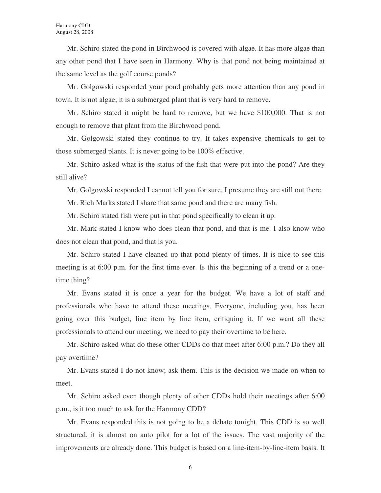Mr. Schiro stated the pond in Birchwood is covered with algae. It has more algae than any other pond that I have seen in Harmony. Why is that pond not being maintained at the same level as the golf course ponds?

Mr. Golgowski responded your pond probably gets more attention than any pond in town. It is not algae; it is a submerged plant that is very hard to remove.

Mr. Schiro stated it might be hard to remove, but we have \$100,000. That is not enough to remove that plant from the Birchwood pond.

Mr. Golgowski stated they continue to try. It takes expensive chemicals to get to those submerged plants. It is never going to be 100% effective.

Mr. Schiro asked what is the status of the fish that were put into the pond? Are they still alive?

Mr. Golgowski responded I cannot tell you for sure. I presume they are still out there.

Mr. Rich Marks stated I share that same pond and there are many fish.

Mr. Schiro stated fish were put in that pond specifically to clean it up.

Mr. Mark stated I know who does clean that pond, and that is me. I also know who does not clean that pond, and that is you.

Mr. Schiro stated I have cleaned up that pond plenty of times. It is nice to see this meeting is at 6:00 p.m. for the first time ever. Is this the beginning of a trend or a onetime thing?

Mr. Evans stated it is once a year for the budget. We have a lot of staff and professionals who have to attend these meetings. Everyone, including you, has been going over this budget, line item by line item, critiquing it. If we want all these professionals to attend our meeting, we need to pay their overtime to be here.

Mr. Schiro asked what do these other CDDs do that meet after 6:00 p.m.? Do they all pay overtime?

Mr. Evans stated I do not know; ask them. This is the decision we made on when to meet.

Mr. Schiro asked even though plenty of other CDDs hold their meetings after 6:00 p.m., is it too much to ask for the Harmony CDD?

Mr. Evans responded this is not going to be a debate tonight. This CDD is so well structured, it is almost on auto pilot for a lot of the issues. The vast majority of the improvements are already done. This budget is based on a line-item-by-line-item basis. It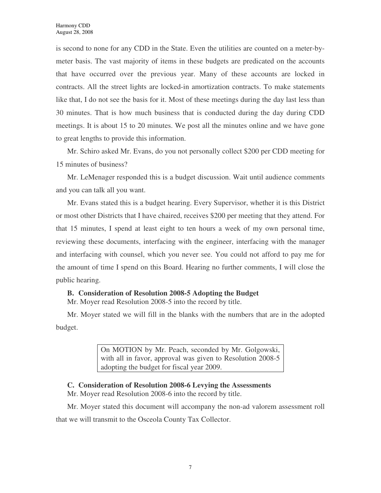is second to none for any CDD in the State. Even the utilities are counted on a meter-bymeter basis. The vast majority of items in these budgets are predicated on the accounts that have occurred over the previous year. Many of these accounts are locked in contracts. All the street lights are locked-in amortization contracts. To make statements like that, I do not see the basis for it. Most of these meetings during the day last less than 30 minutes. That is how much business that is conducted during the day during CDD meetings. It is about 15 to 20 minutes. We post all the minutes online and we have gone to great lengths to provide this information.

Mr. Schiro asked Mr. Evans, do you not personally collect \$200 per CDD meeting for 15 minutes of business?

Mr. LeMenager responded this is a budget discussion. Wait until audience comments and you can talk all you want.

Mr. Evans stated this is a budget hearing. Every Supervisor, whether it is this District or most other Districts that I have chaired, receives \$200 per meeting that they attend. For that 15 minutes, I spend at least eight to ten hours a week of my own personal time, reviewing these documents, interfacing with the engineer, interfacing with the manager and interfacing with counsel, which you never see. You could not afford to pay me for the amount of time I spend on this Board. Hearing no further comments, I will close the public hearing.

### **B. Consideration of Resolution 2008-5 Adopting the Budget**

Mr. Moyer read Resolution 2008-5 into the record by title.

Mr. Moyer stated we will fill in the blanks with the numbers that are in the adopted budget.

> On MOTION by Mr. Peach, seconded by Mr. Golgowski, with all in favor, approval was given to Resolution 2008-5 adopting the budget for fiscal year 2009.

### **C. Consideration of Resolution 2008-6 Levying the Assessments**

Mr. Moyer read Resolution 2008-6 into the record by title.

Mr. Moyer stated this document will accompany the non-ad valorem assessment roll that we will transmit to the Osceola County Tax Collector.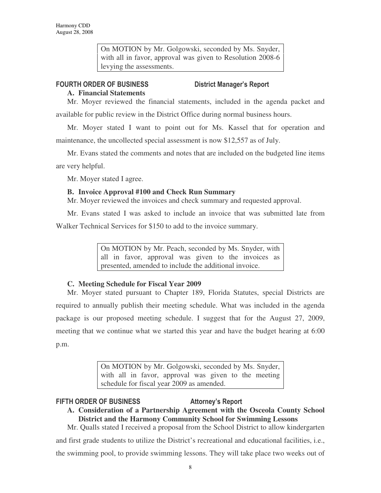On MOTION by Mr. Golgowski, seconded by Ms. Snyder, with all in favor, approval was given to Resolution 2008-6 levying the assessments.

## FOURTH ORDER OF BUSINESS District Manager's Report

## **A. Financial Statements**

Mr. Moyer reviewed the financial statements, included in the agenda packet and available for public review in the District Office during normal business hours.

Mr. Moyer stated I want to point out for Ms. Kassel that for operation and maintenance, the uncollected special assessment is now \$12,557 as of July.

Mr. Evans stated the comments and notes that are included on the budgeted line items

are very helpful.

Mr. Moyer stated I agree.

## **B. Invoice Approval #100 and Check Run Summary**

Mr. Moyer reviewed the invoices and check summary and requested approval.

Mr. Evans stated I was asked to include an invoice that was submitted late from

Walker Technical Services for \$150 to add to the invoice summary.

On MOTION by Mr. Peach, seconded by Ms. Snyder, with all in favor, approval was given to the invoices as presented, amended to include the additional invoice.

## **C. Meeting Schedule for Fiscal Year 2009**

Mr. Moyer stated pursuant to Chapter 189, Florida Statutes, special Districts are required to annually publish their meeting schedule. What was included in the agenda package is our proposed meeting schedule. I suggest that for the August 27, 2009, meeting that we continue what we started this year and have the budget hearing at 6:00 p.m.

> On MOTION by Mr. Golgowski, seconded by Ms. Snyder, with all in favor, approval was given to the meeting schedule for fiscal year 2009 as amended.

## FIFTH ORDER OF BUSINESS Attorney's Report

## **A. Consideration of a Partnership Agreement with the Osceola County School District and the Harmony Community School for Swimming Lessons**

Mr. Qualls stated I received a proposal from the School District to allow kindergarten

and first grade students to utilize the District's recreational and educational facilities, i.e.,

the swimming pool, to provide swimming lessons. They will take place two weeks out of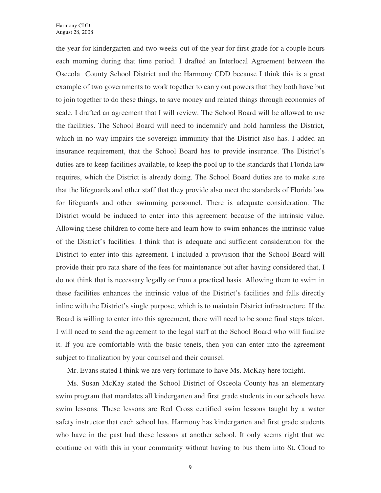the year for kindergarten and two weeks out of the year for first grade for a couple hours each morning during that time period. I drafted an Interlocal Agreement between the Osceola County School District and the Harmony CDD because I think this is a great example of two governments to work together to carry out powers that they both have but to join together to do these things, to save money and related things through economies of scale. I drafted an agreement that I will review. The School Board will be allowed to use the facilities. The School Board will need to indemnify and hold harmless the District, which in no way impairs the sovereign immunity that the District also has. I added an insurance requirement, that the School Board has to provide insurance. The District's duties are to keep facilities available, to keep the pool up to the standards that Florida law requires, which the District is already doing. The School Board duties are to make sure that the lifeguards and other staff that they provide also meet the standards of Florida law for lifeguards and other swimming personnel. There is adequate consideration. The District would be induced to enter into this agreement because of the intrinsic value. Allowing these children to come here and learn how to swim enhances the intrinsic value of the District's facilities. I think that is adequate and sufficient consideration for the District to enter into this agreement. I included a provision that the School Board will provide their pro rata share of the fees for maintenance but after having considered that, I do not think that is necessary legally or from a practical basis. Allowing them to swim in these facilities enhances the intrinsic value of the District's facilities and falls directly inline with the District's single purpose, which is to maintain District infrastructure. If the Board is willing to enter into this agreement, there will need to be some final steps taken. I will need to send the agreement to the legal staff at the School Board who will finalize it. If you are comfortable with the basic tenets, then you can enter into the agreement subject to finalization by your counsel and their counsel.

Mr. Evans stated I think we are very fortunate to have Ms. McKay here tonight.

Ms. Susan McKay stated the School District of Osceola County has an elementary swim program that mandates all kindergarten and first grade students in our schools have swim lessons. These lessons are Red Cross certified swim lessons taught by a water safety instructor that each school has. Harmony has kindergarten and first grade students who have in the past had these lessons at another school. It only seems right that we continue on with this in your community without having to bus them into St. Cloud to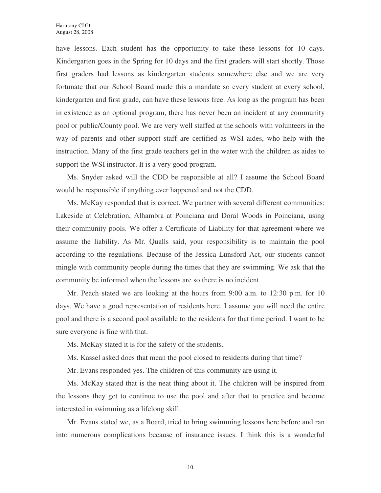have lessons. Each student has the opportunity to take these lessons for 10 days. Kindergarten goes in the Spring for 10 days and the first graders will start shortly. Those first graders had lessons as kindergarten students somewhere else and we are very fortunate that our School Board made this a mandate so every student at every school, kindergarten and first grade, can have these lessons free. As long as the program has been in existence as an optional program, there has never been an incident at any community pool or public/County pool. We are very well staffed at the schools with volunteers in the way of parents and other support staff are certified as WSI aides, who help with the instruction. Many of the first grade teachers get in the water with the children as aides to support the WSI instructor. It is a very good program.

Ms. Snyder asked will the CDD be responsible at all? I assume the School Board would be responsible if anything ever happened and not the CDD.

Ms. McKay responded that is correct. We partner with several different communities: Lakeside at Celebration, Alhambra at Poinciana and Doral Woods in Poinciana, using their community pools. We offer a Certificate of Liability for that agreement where we assume the liability. As Mr. Qualls said, your responsibility is to maintain the pool according to the regulations. Because of the Jessica Lunsford Act, our students cannot mingle with community people during the times that they are swimming. We ask that the community be informed when the lessons are so there is no incident.

Mr. Peach stated we are looking at the hours from 9:00 a.m. to 12:30 p.m. for 10 days. We have a good representation of residents here. I assume you will need the entire pool and there is a second pool available to the residents for that time period. I want to be sure everyone is fine with that.

Ms. McKay stated it is for the safety of the students.

Ms. Kassel asked does that mean the pool closed to residents during that time?

Mr. Evans responded yes. The children of this community are using it.

Ms. McKay stated that is the neat thing about it. The children will be inspired from the lessons they get to continue to use the pool and after that to practice and become interested in swimming as a lifelong skill.

Mr. Evans stated we, as a Board, tried to bring swimming lessons here before and ran into numerous complications because of insurance issues. I think this is a wonderful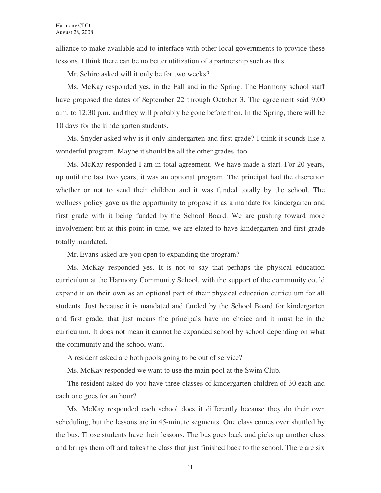alliance to make available and to interface with other local governments to provide these lessons. I think there can be no better utilization of a partnership such as this.

Mr. Schiro asked will it only be for two weeks?

Ms. McKay responded yes, in the Fall and in the Spring. The Harmony school staff have proposed the dates of September 22 through October 3. The agreement said 9:00 a.m. to 12:30 p.m. and they will probably be gone before then. In the Spring, there will be 10 days for the kindergarten students.

Ms. Snyder asked why is it only kindergarten and first grade? I think it sounds like a wonderful program. Maybe it should be all the other grades, too.

Ms. McKay responded I am in total agreement. We have made a start. For 20 years, up until the last two years, it was an optional program. The principal had the discretion whether or not to send their children and it was funded totally by the school. The wellness policy gave us the opportunity to propose it as a mandate for kindergarten and first grade with it being funded by the School Board. We are pushing toward more involvement but at this point in time, we are elated to have kindergarten and first grade totally mandated.

Mr. Evans asked are you open to expanding the program?

Ms. McKay responded yes. It is not to say that perhaps the physical education curriculum at the Harmony Community School, with the support of the community could expand it on their own as an optional part of their physical education curriculum for all students. Just because it is mandated and funded by the School Board for kindergarten and first grade, that just means the principals have no choice and it must be in the curriculum. It does not mean it cannot be expanded school by school depending on what the community and the school want.

A resident asked are both pools going to be out of service?

Ms. McKay responded we want to use the main pool at the Swim Club.

The resident asked do you have three classes of kindergarten children of 30 each and each one goes for an hour?

Ms. McKay responded each school does it differently because they do their own scheduling, but the lessons are in 45-minute segments. One class comes over shuttled by the bus. Those students have their lessons. The bus goes back and picks up another class and brings them off and takes the class that just finished back to the school. There are six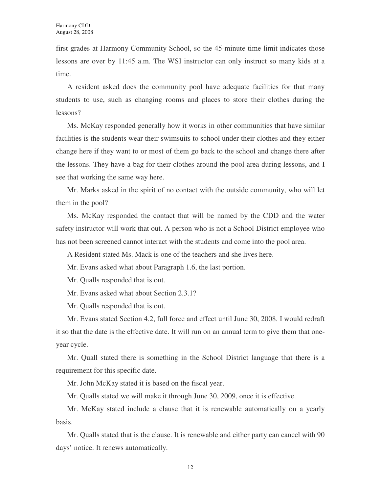first grades at Harmony Community School, so the 45-minute time limit indicates those lessons are over by 11:45 a.m. The WSI instructor can only instruct so many kids at a time.

A resident asked does the community pool have adequate facilities for that many students to use, such as changing rooms and places to store their clothes during the lessons?

Ms. McKay responded generally how it works in other communities that have similar facilities is the students wear their swimsuits to school under their clothes and they either change here if they want to or most of them go back to the school and change there after the lessons. They have a bag for their clothes around the pool area during lessons, and I see that working the same way here.

Mr. Marks asked in the spirit of no contact with the outside community, who will let them in the pool?

Ms. McKay responded the contact that will be named by the CDD and the water safety instructor will work that out. A person who is not a School District employee who has not been screened cannot interact with the students and come into the pool area.

A Resident stated Ms. Mack is one of the teachers and she lives here.

Mr. Evans asked what about Paragraph 1.6, the last portion.

Mr. Qualls responded that is out.

Mr. Evans asked what about Section 2.3.1?

Mr. Qualls responded that is out.

Mr. Evans stated Section 4.2, full force and effect until June 30, 2008. I would redraft it so that the date is the effective date. It will run on an annual term to give them that oneyear cycle.

Mr. Quall stated there is something in the School District language that there is a requirement for this specific date.

Mr. John McKay stated it is based on the fiscal year.

Mr. Qualls stated we will make it through June 30, 2009, once it is effective.

Mr. McKay stated include a clause that it is renewable automatically on a yearly basis.

Mr. Qualls stated that is the clause. It is renewable and either party can cancel with 90 days' notice. It renews automatically.

12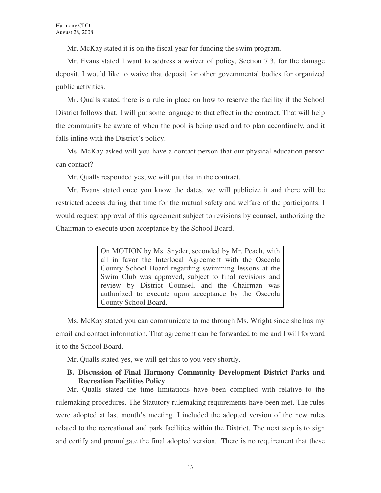Mr. McKay stated it is on the fiscal year for funding the swim program.

Mr. Evans stated I want to address a waiver of policy, Section 7.3, for the damage deposit. I would like to waive that deposit for other governmental bodies for organized public activities.

Mr. Qualls stated there is a rule in place on how to reserve the facility if the School District follows that. I will put some language to that effect in the contract. That will help the community be aware of when the pool is being used and to plan accordingly, and it falls inline with the District's policy.

Ms. McKay asked will you have a contact person that our physical education person can contact?

Mr. Qualls responded yes, we will put that in the contract.

Mr. Evans stated once you know the dates, we will publicize it and there will be restricted access during that time for the mutual safety and welfare of the participants. I would request approval of this agreement subject to revisions by counsel, authorizing the Chairman to execute upon acceptance by the School Board.

> On MOTION by Ms. Snyder, seconded by Mr. Peach, with all in favor the Interlocal Agreement with the Osceola County School Board regarding swimming lessons at the Swim Club was approved, subject to final revisions and review by District Counsel, and the Chairman was authorized to execute upon acceptance by the Osceola County School Board.

Ms. McKay stated you can communicate to me through Ms. Wright since she has my email and contact information. That agreement can be forwarded to me and I will forward it to the School Board.

Mr. Qualls stated yes, we will get this to you very shortly.

## **B. Discussion of Final Harmony Community Development District Parks and Recreation Facilities Policy**

Mr. Qualls stated the time limitations have been complied with relative to the rulemaking procedures. The Statutory rulemaking requirements have been met. The rules were adopted at last month's meeting. I included the adopted version of the new rules related to the recreational and park facilities within the District. The next step is to sign and certify and promulgate the final adopted version. There is no requirement that these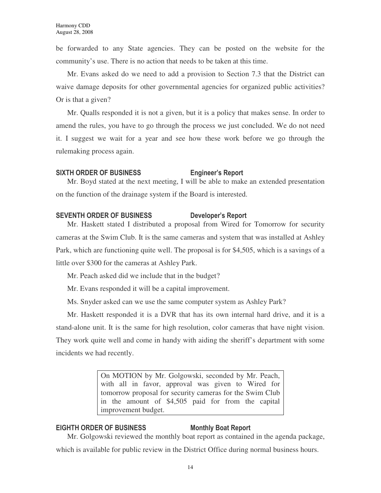be forwarded to any State agencies. They can be posted on the website for the community's use. There is no action that needs to be taken at this time.

Mr. Evans asked do we need to add a provision to Section 7.3 that the District can waive damage deposits for other governmental agencies for organized public activities? Or is that a given?

Mr. Qualls responded it is not a given, but it is a policy that makes sense. In order to amend the rules, you have to go through the process we just concluded. We do not need it. I suggest we wait for a year and see how these work before we go through the rulemaking process again.

#### SIXTH ORDER OF BUSINESS Engineer's Report

Mr. Boyd stated at the next meeting, I will be able to make an extended presentation on the function of the drainage system if the Board is interested.

### SEVENTH ORDER OF BUSINESS Developer's Report

Mr. Haskett stated I distributed a proposal from Wired for Tomorrow for security cameras at the Swim Club. It is the same cameras and system that was installed at Ashley Park, which are functioning quite well. The proposal is for \$4,505, which is a savings of a little over \$300 for the cameras at Ashley Park.

Mr. Peach asked did we include that in the budget?

Mr. Evans responded it will be a capital improvement.

Ms. Snyder asked can we use the same computer system as Ashley Park?

Mr. Haskett responded it is a DVR that has its own internal hard drive, and it is a stand-alone unit. It is the same for high resolution, color cameras that have night vision. They work quite well and come in handy with aiding the sheriff's department with some incidents we had recently.

> On MOTION by Mr. Golgowski, seconded by Mr. Peach, with all in favor, approval was given to Wired for tomorrow proposal for security cameras for the Swim Club in the amount of \$4,505 paid for from the capital improvement budget.

### EIGHTH ORDER OF BUSINESS Monthly Boat Report

Mr. Golgowski reviewed the monthly boat report as contained in the agenda package,

which is available for public review in the District Office during normal business hours.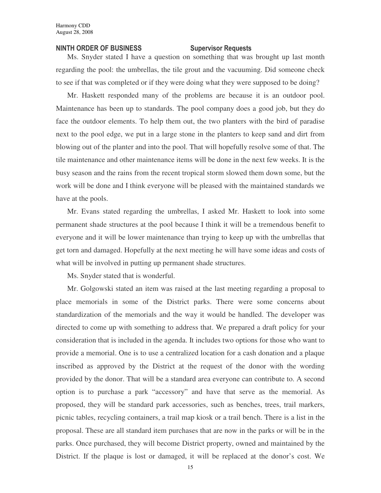#### NINTH ORDER OF BUSINESS Supervisor Requests

Ms. Snyder stated I have a question on something that was brought up last month regarding the pool: the umbrellas, the tile grout and the vacuuming. Did someone check to see if that was completed or if they were doing what they were supposed to be doing?

Mr. Haskett responded many of the problems are because it is an outdoor pool. Maintenance has been up to standards. The pool company does a good job, but they do face the outdoor elements. To help them out, the two planters with the bird of paradise next to the pool edge, we put in a large stone in the planters to keep sand and dirt from blowing out of the planter and into the pool. That will hopefully resolve some of that. The tile maintenance and other maintenance items will be done in the next few weeks. It is the busy season and the rains from the recent tropical storm slowed them down some, but the work will be done and I think everyone will be pleased with the maintained standards we have at the pools.

Mr. Evans stated regarding the umbrellas, I asked Mr. Haskett to look into some permanent shade structures at the pool because I think it will be a tremendous benefit to everyone and it will be lower maintenance than trying to keep up with the umbrellas that get torn and damaged. Hopefully at the next meeting he will have some ideas and costs of what will be involved in putting up permanent shade structures.

Ms. Snyder stated that is wonderful.

Mr. Golgowski stated an item was raised at the last meeting regarding a proposal to place memorials in some of the District parks. There were some concerns about standardization of the memorials and the way it would be handled. The developer was directed to come up with something to address that. We prepared a draft policy for your consideration that is included in the agenda. It includes two options for those who want to provide a memorial. One is to use a centralized location for a cash donation and a plaque inscribed as approved by the District at the request of the donor with the wording provided by the donor. That will be a standard area everyone can contribute to. A second option is to purchase a park "accessory" and have that serve as the memorial. As proposed, they will be standard park accessories, such as benches, trees, trail markers, picnic tables, recycling containers, a trail map kiosk or a trail bench. There is a list in the proposal. These are all standard item purchases that are now in the parks or will be in the parks. Once purchased, they will become District property, owned and maintained by the District. If the plaque is lost or damaged, it will be replaced at the donor's cost. We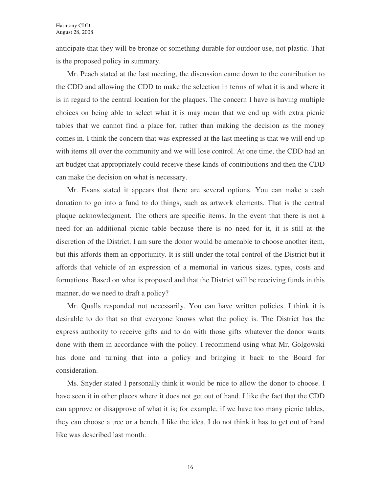anticipate that they will be bronze or something durable for outdoor use, not plastic. That is the proposed policy in summary.

Mr. Peach stated at the last meeting, the discussion came down to the contribution to the CDD and allowing the CDD to make the selection in terms of what it is and where it is in regard to the central location for the plaques. The concern I have is having multiple choices on being able to select what it is may mean that we end up with extra picnic tables that we cannot find a place for, rather than making the decision as the money comes in. I think the concern that was expressed at the last meeting is that we will end up with items all over the community and we will lose control. At one time, the CDD had an art budget that appropriately could receive these kinds of contributions and then the CDD can make the decision on what is necessary.

Mr. Evans stated it appears that there are several options. You can make a cash donation to go into a fund to do things, such as artwork elements. That is the central plaque acknowledgment. The others are specific items. In the event that there is not a need for an additional picnic table because there is no need for it, it is still at the discretion of the District. I am sure the donor would be amenable to choose another item, but this affords them an opportunity. It is still under the total control of the District but it affords that vehicle of an expression of a memorial in various sizes, types, costs and formations. Based on what is proposed and that the District will be receiving funds in this manner, do we need to draft a policy?

Mr. Qualls responded not necessarily. You can have written policies. I think it is desirable to do that so that everyone knows what the policy is. The District has the express authority to receive gifts and to do with those gifts whatever the donor wants done with them in accordance with the policy. I recommend using what Mr. Golgowski has done and turning that into a policy and bringing it back to the Board for consideration.

Ms. Snyder stated I personally think it would be nice to allow the donor to choose. I have seen it in other places where it does not get out of hand. I like the fact that the CDD can approve or disapprove of what it is; for example, if we have too many picnic tables, they can choose a tree or a bench. I like the idea. I do not think it has to get out of hand like was described last month.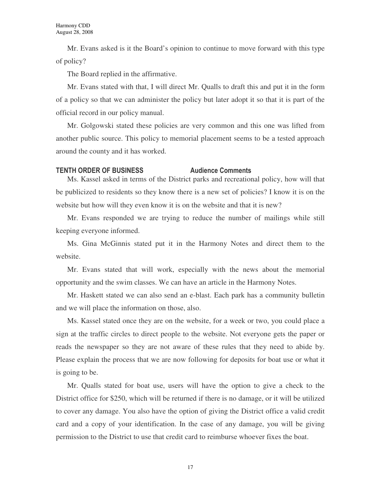Mr. Evans asked is it the Board's opinion to continue to move forward with this type of policy?

The Board replied in the affirmative.

Mr. Evans stated with that, I will direct Mr. Qualls to draft this and put it in the form of a policy so that we can administer the policy but later adopt it so that it is part of the official record in our policy manual.

Mr. Golgowski stated these policies are very common and this one was lifted from another public source. This policy to memorial placement seems to be a tested approach around the county and it has worked.

#### TENTH ORDER OF BUSINESS Audience Comments

Ms. Kassel asked in terms of the District parks and recreational policy, how will that be publicized to residents so they know there is a new set of policies? I know it is on the website but how will they even know it is on the website and that it is new?

Mr. Evans responded we are trying to reduce the number of mailings while still keeping everyone informed.

Ms. Gina McGinnis stated put it in the Harmony Notes and direct them to the website.

Mr. Evans stated that will work, especially with the news about the memorial opportunity and the swim classes. We can have an article in the Harmony Notes.

Mr. Haskett stated we can also send an e-blast. Each park has a community bulletin and we will place the information on those, also.

Ms. Kassel stated once they are on the website, for a week or two, you could place a sign at the traffic circles to direct people to the website. Not everyone gets the paper or reads the newspaper so they are not aware of these rules that they need to abide by. Please explain the process that we are now following for deposits for boat use or what it is going to be.

Mr. Qualls stated for boat use, users will have the option to give a check to the District office for \$250, which will be returned if there is no damage, or it will be utilized to cover any damage. You also have the option of giving the District office a valid credit card and a copy of your identification. In the case of any damage, you will be giving permission to the District to use that credit card to reimburse whoever fixes the boat.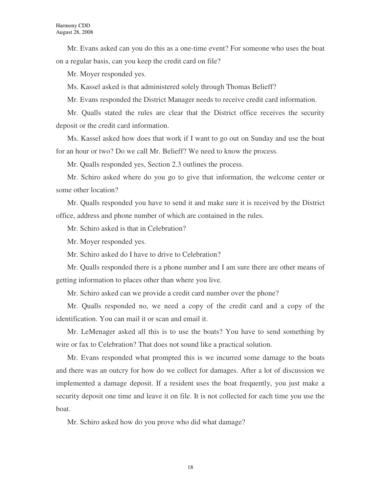Mr. Evans asked can you do this as a one-time event? For someone who uses the boat on a regular basis, can you keep the credit card on file?

Mr. Moyer responded yes.

Ms. Kassel asked is that administered solely through Thomas Belieff?

Mr. Evans responded the District Manager needs to receive credit card information.

Mr. Qualls stated the rules are clear that the District office receives the security deposit or the credit card information.

Ms. Kassel asked how does that work if I want to go out on Sunday and use the boat for an hour or two? Do we call Mr. Belieff? We need to know the process.

Mr. Qualls responded yes, Section 2.3 outlines the process.

Mr. Schiro asked where do you go to give that information, the welcome center or some other location?

Mr. Qualls responded you have to send it and make sure it is received by the District office, address and phone number of which are contained in the rules.

Mr. Schiro asked is that in Celebration?

Mr. Moyer responded yes.

Mr. Schiro asked do I have to drive to Celebration?

Mr. Qualls responded there is a phone number and I am sure there are other means of getting information to places other than where you live.

Mr. Schiro asked can we provide a credit card number over the phone?

Mr. Qualls responded no, we need a copy of the credit card and a copy of the identification. You can mail it or scan and email it.

Mr. LeMenager asked all this is to use the boats? You have to send something by wire or fax to Celebration? That does not sound like a practical solution.

Mr. Evans responded what prompted this is we incurred some damage to the boats and there was an outcry for how do we collect for damages. After a lot of discussion we implemented a damage deposit. If a resident uses the boat frequently, you just make a security deposit one time and leave it on file. It is not collected for each time you use the boat.

Mr. Schiro asked how do you prove who did what damage?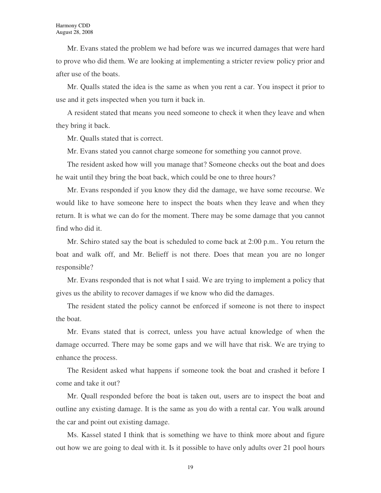Mr. Evans stated the problem we had before was we incurred damages that were hard to prove who did them. We are looking at implementing a stricter review policy prior and after use of the boats.

Mr. Qualls stated the idea is the same as when you rent a car. You inspect it prior to use and it gets inspected when you turn it back in.

A resident stated that means you need someone to check it when they leave and when they bring it back.

Mr. Qualls stated that is correct.

Mr. Evans stated you cannot charge someone for something you cannot prove.

The resident asked how will you manage that? Someone checks out the boat and does he wait until they bring the boat back, which could be one to three hours?

Mr. Evans responded if you know they did the damage, we have some recourse. We would like to have someone here to inspect the boats when they leave and when they return. It is what we can do for the moment. There may be some damage that you cannot find who did it.

Mr. Schiro stated say the boat is scheduled to come back at 2:00 p.m.. You return the boat and walk off, and Mr. Belieff is not there. Does that mean you are no longer responsible?

Mr. Evans responded that is not what I said. We are trying to implement a policy that gives us the ability to recover damages if we know who did the damages.

The resident stated the policy cannot be enforced if someone is not there to inspect the boat.

Mr. Evans stated that is correct, unless you have actual knowledge of when the damage occurred. There may be some gaps and we will have that risk. We are trying to enhance the process.

The Resident asked what happens if someone took the boat and crashed it before I come and take it out?

Mr. Quall responded before the boat is taken out, users are to inspect the boat and outline any existing damage. It is the same as you do with a rental car. You walk around the car and point out existing damage.

Ms. Kassel stated I think that is something we have to think more about and figure out how we are going to deal with it. Is it possible to have only adults over 21 pool hours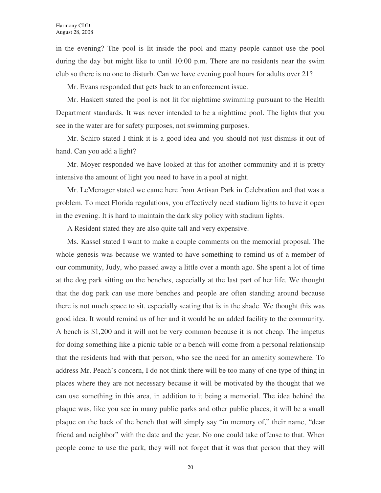in the evening? The pool is lit inside the pool and many people cannot use the pool during the day but might like to until 10:00 p.m. There are no residents near the swim club so there is no one to disturb. Can we have evening pool hours for adults over 21?

Mr. Evans responded that gets back to an enforcement issue.

Mr. Haskett stated the pool is not lit for nighttime swimming pursuant to the Health Department standards. It was never intended to be a nighttime pool. The lights that you see in the water are for safety purposes, not swimming purposes.

Mr. Schiro stated I think it is a good idea and you should not just dismiss it out of hand. Can you add a light?

Mr. Moyer responded we have looked at this for another community and it is pretty intensive the amount of light you need to have in a pool at night.

Mr. LeMenager stated we came here from Artisan Park in Celebration and that was a problem. To meet Florida regulations, you effectively need stadium lights to have it open in the evening. It is hard to maintain the dark sky policy with stadium lights.

A Resident stated they are also quite tall and very expensive.

Ms. Kassel stated I want to make a couple comments on the memorial proposal. The whole genesis was because we wanted to have something to remind us of a member of our community, Judy, who passed away a little over a month ago. She spent a lot of time at the dog park sitting on the benches, especially at the last part of her life. We thought that the dog park can use more benches and people are often standing around because there is not much space to sit, especially seating that is in the shade. We thought this was good idea. It would remind us of her and it would be an added facility to the community. A bench is \$1,200 and it will not be very common because it is not cheap. The impetus for doing something like a picnic table or a bench will come from a personal relationship that the residents had with that person, who see the need for an amenity somewhere. To address Mr. Peach's concern, I do not think there will be too many of one type of thing in places where they are not necessary because it will be motivated by the thought that we can use something in this area, in addition to it being a memorial. The idea behind the plaque was, like you see in many public parks and other public places, it will be a small plaque on the back of the bench that will simply say "in memory of," their name, "dear friend and neighbor" with the date and the year. No one could take offense to that. When people come to use the park, they will not forget that it was that person that they will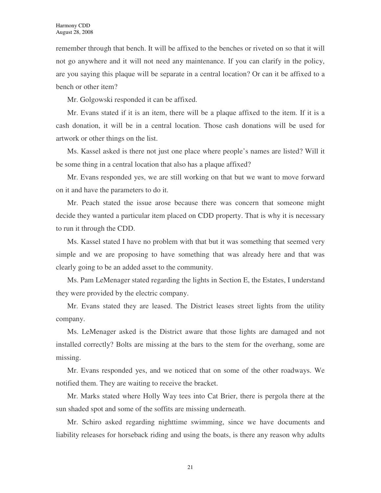remember through that bench. It will be affixed to the benches or riveted on so that it will not go anywhere and it will not need any maintenance. If you can clarify in the policy, are you saying this plaque will be separate in a central location? Or can it be affixed to a bench or other item?

Mr. Golgowski responded it can be affixed.

Mr. Evans stated if it is an item, there will be a plaque affixed to the item. If it is a cash donation, it will be in a central location. Those cash donations will be used for artwork or other things on the list.

Ms. Kassel asked is there not just one place where people's names are listed? Will it be some thing in a central location that also has a plaque affixed?

Mr. Evans responded yes, we are still working on that but we want to move forward on it and have the parameters to do it.

Mr. Peach stated the issue arose because there was concern that someone might decide they wanted a particular item placed on CDD property. That is why it is necessary to run it through the CDD.

Ms. Kassel stated I have no problem with that but it was something that seemed very simple and we are proposing to have something that was already here and that was clearly going to be an added asset to the community.

Ms. Pam LeMenager stated regarding the lights in Section E, the Estates, I understand they were provided by the electric company.

Mr. Evans stated they are leased. The District leases street lights from the utility company.

Ms. LeMenager asked is the District aware that those lights are damaged and not installed correctly? Bolts are missing at the bars to the stem for the overhang, some are missing.

Mr. Evans responded yes, and we noticed that on some of the other roadways. We notified them. They are waiting to receive the bracket.

Mr. Marks stated where Holly Way tees into Cat Brier, there is pergola there at the sun shaded spot and some of the soffits are missing underneath.

Mr. Schiro asked regarding nighttime swimming, since we have documents and liability releases for horseback riding and using the boats, is there any reason why adults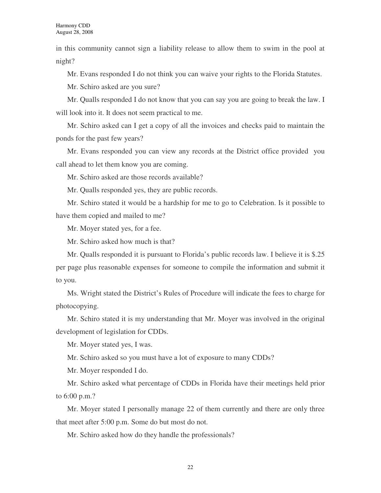in this community cannot sign a liability release to allow them to swim in the pool at night?

Mr. Evans responded I do not think you can waive your rights to the Florida Statutes.

Mr. Schiro asked are you sure?

Mr. Qualls responded I do not know that you can say you are going to break the law. I will look into it. It does not seem practical to me.

Mr. Schiro asked can I get a copy of all the invoices and checks paid to maintain the ponds for the past few years?

Mr. Evans responded you can view any records at the District office provided you call ahead to let them know you are coming.

Mr. Schiro asked are those records available?

Mr. Qualls responded yes, they are public records.

Mr. Schiro stated it would be a hardship for me to go to Celebration. Is it possible to have them copied and mailed to me?

Mr. Moyer stated yes, for a fee.

Mr. Schiro asked how much is that?

Mr. Qualls responded it is pursuant to Florida's public records law. I believe it is \$.25 per page plus reasonable expenses for someone to compile the information and submit it to you.

Ms. Wright stated the District's Rules of Procedure will indicate the fees to charge for photocopying.

Mr. Schiro stated it is my understanding that Mr. Moyer was involved in the original development of legislation for CDDs.

Mr. Moyer stated yes, I was.

Mr. Schiro asked so you must have a lot of exposure to many CDDs?

Mr. Moyer responded I do.

Mr. Schiro asked what percentage of CDDs in Florida have their meetings held prior to 6:00 p.m.?

Mr. Moyer stated I personally manage 22 of them currently and there are only three that meet after 5:00 p.m. Some do but most do not.

Mr. Schiro asked how do they handle the professionals?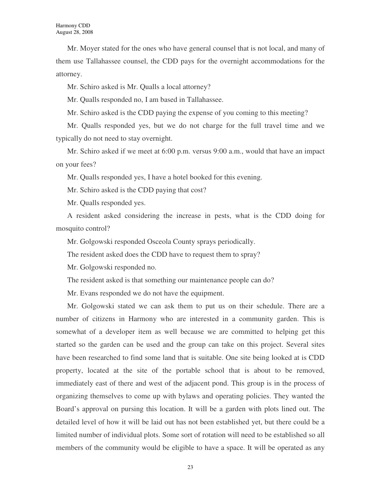Mr. Moyer stated for the ones who have general counsel that is not local, and many of them use Tallahassee counsel, the CDD pays for the overnight accommodations for the attorney.

Mr. Schiro asked is Mr. Qualls a local attorney?

Mr. Qualls responded no, I am based in Tallahassee.

Mr. Schiro asked is the CDD paying the expense of you coming to this meeting?

Mr. Qualls responded yes, but we do not charge for the full travel time and we typically do not need to stay overnight.

Mr. Schiro asked if we meet at 6:00 p.m. versus 9:00 a.m., would that have an impact on your fees?

Mr. Qualls responded yes, I have a hotel booked for this evening.

Mr. Schiro asked is the CDD paying that cost?

Mr. Qualls responded yes.

A resident asked considering the increase in pests, what is the CDD doing for mosquito control?

Mr. Golgowski responded Osceola County sprays periodically.

The resident asked does the CDD have to request them to spray?

Mr. Golgowski responded no.

The resident asked is that something our maintenance people can do?

Mr. Evans responded we do not have the equipment.

Mr. Golgowski stated we can ask them to put us on their schedule. There are a number of citizens in Harmony who are interested in a community garden. This is somewhat of a developer item as well because we are committed to helping get this started so the garden can be used and the group can take on this project. Several sites have been researched to find some land that is suitable. One site being looked at is CDD property, located at the site of the portable school that is about to be removed, immediately east of there and west of the adjacent pond. This group is in the process of organizing themselves to come up with bylaws and operating policies. They wanted the Board's approval on pursing this location. It will be a garden with plots lined out. The detailed level of how it will be laid out has not been established yet, but there could be a limited number of individual plots. Some sort of rotation will need to be established so all members of the community would be eligible to have a space. It will be operated as any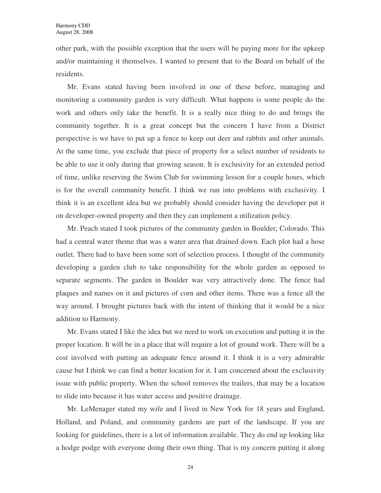other park, with the possible exception that the users will be paying more for the upkeep and/or maintaining it themselves. I wanted to present that to the Board on behalf of the residents.

Mr. Evans stated having been involved in one of these before, managing and monitoring a community garden is very difficult. What happens is some people do the work and others only take the benefit. It is a really nice thing to do and brings the community together. It is a great concept but the concern I have from a District perspective is we have to put up a fence to keep out deer and rabbits and other animals. At the same time, you exclude that piece of property for a select number of residents to be able to use it only during that growing season. It is exclusivity for an extended period of time, unlike reserving the Swim Club for swimming lesson for a couple hours, which is for the overall community benefit. I think we run into problems with exclusivity. I think it is an excellent idea but we probably should consider having the developer put it on developer-owned property and then they can implement a utilization policy.

Mr. Peach stated I took pictures of the community garden in Boulder, Colorado. This had a central water theme that was a water area that drained down. Each plot had a hose outlet. There had to have been some sort of selection process. I thought of the community developing a garden club to take responsibility for the whole garden as opposed to separate segments. The garden in Boulder was very attractively done. The fence had plaques and names on it and pictures of corn and other items. There was a fence all the way around. I brought pictures back with the intent of thinking that it would be a nice addition to Harmony.

Mr. Evans stated I like the idea but we need to work on execution and putting it in the proper location. It will be in a place that will require a lot of ground work. There will be a cost involved with putting an adequate fence around it. I think it is a very admirable cause but I think we can find a better location for it. I am concerned about the exclusivity issue with public property. When the school removes the trailers, that may be a location to slide into because it has water access and positive drainage.

Mr. LeMenager stated my wife and I lived in New York for 18 years and England, Holland, and Poland, and community gardens are part of the landscape. If you are looking for guidelines, there is a lot of information available. They do end up looking like a hodge podge with everyone doing their own thing. That is my concern putting it along